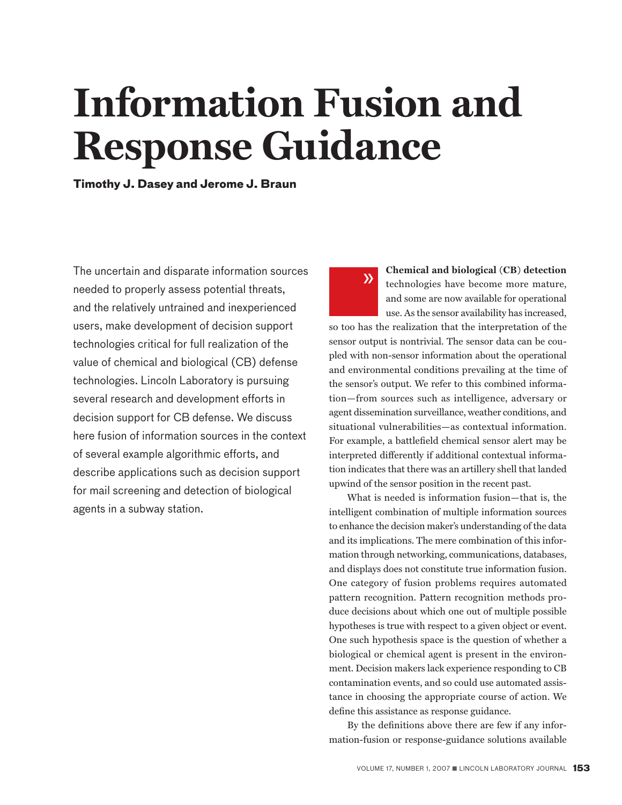# **Information Fusion and Response Guidance**

 $\lambda$ 

**Timothy J. Dasey and Jerome J. Braun**

The uncertain and disparate information sources needed to properly assess potential threats, and the relatively untrained and inexperienced users, make development of decision support technologies critical for full realization of the value of chemical and biological (CB) defense technologies. Lincoln Laboratory is pursuing several research and development efforts in decision support for CB defense. We discuss here fusion of information sources in the context of several example algorithmic efforts, and describe applications such as decision support for mail screening and detection of biological agents in a subway station.

**Chemical and biological (CB) detection**  technologies have become more mature, and some are now available for operational use. As the sensor availability has increased,

so too has the realization that the interpretation of the sensor output is nontrivial. The sensor data can be coupled with non-sensor information about the operational and environmental conditions prevailing at the time of the sensor's output. We refer to this combined information—from sources such as intelligence, adversary or agent dissemination surveillance, weather conditions, and situational vulnerabilities—as contextual information. For example, a battlefield chemical sensor alert may be interpreted differently if additional contextual information indicates that there was an artillery shell that landed upwind of the sensor position in the recent past.

What is needed is information fusion—that is, the intelligent combination of multiple information sources to enhance the decision maker's understanding of the data and its implications. The mere combination of this information through networking, communications, databases, and displays does not constitute true information fusion. One category of fusion problems requires automated pattern recognition. Pattern recognition methods produce decisions about which one out of multiple possible hypotheses is true with respect to a given object or event. One such hypothesis space is the question of whether a biological or chemical agent is present in the environment. Decision makers lack experience responding to CB contamination events, and so could use automated assistance in choosing the appropriate course of action. We define this assistance as response guidance.

By the definitions above there are few if any information-fusion or response-guidance solutions available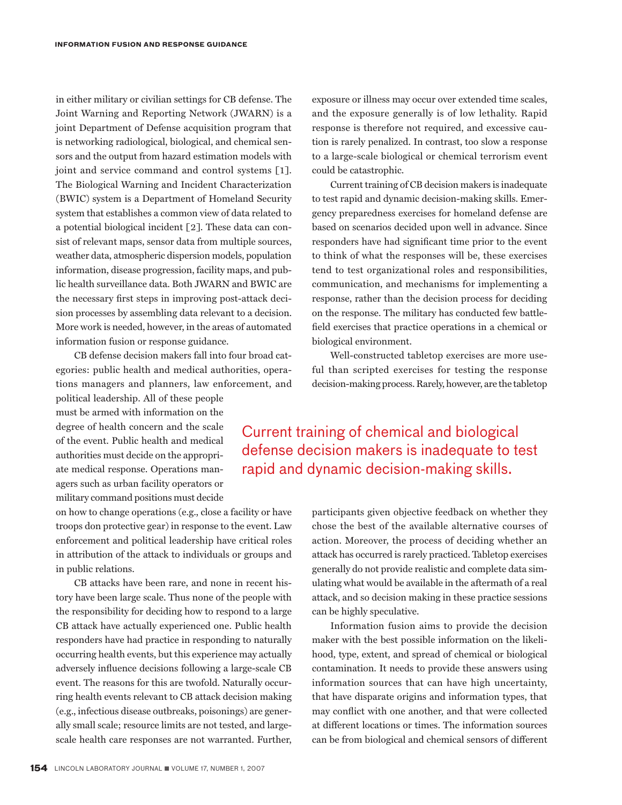in either military or civilian settings for CB defense. The Joint Warning and Reporting Network (JWARN) is a joint Department of Defense acquisition program that is networking radiological, biological, and chemical sensors and the output from hazard estimation models with joint and service command and control systems [1]. The Biological Warning and Incident Characterization (BWIC) system is a Department of Homeland Security system that establishes a common view of data related to a potential biological incident [2]. These data can consist of relevant maps, sensor data from multiple sources, weather data, atmospheric dispersion models, population information, disease progression, facility maps, and public health surveillance data. Both JWARN and BWIC are the necessary first steps in improving post-attack decision processes by assembling data relevant to a decision. More work is needed, however, in the areas of automated information fusion or response guidance.

CB defense decision makers fall into four broad categories: public health and medical authorities, operations managers and planners, law enforcement, and

political leadership. All of these people must be armed with information on the degree of health concern and the scale of the event. Public health and medical authorities must decide on the appropriate medical response. Operations managers such as urban facility operators or military command positions must decide

on how to change operations (e.g., close a facility or have troops don protective gear) in response to the event. Law enforcement and political leadership have critical roles in attribution of the attack to individuals or groups and in public relations.

CB attacks have been rare, and none in recent history have been large scale. Thus none of the people with the responsibility for deciding how to respond to a large CB attack have actually experienced one. Public health responders have had practice in responding to naturally occurring health events, but this experience may actually adversely influence decisions following a large-scale CB event. The reasons for this are twofold. Naturally occurring health events relevant to CB attack decision making (e.g., infectious disease outbreaks, poisonings) are generally small scale; resource limits are not tested, and largescale health care responses are not warranted. Further, exposure or illness may occur over extended time scales, and the exposure generally is of low lethality. Rapid response is therefore not required, and excessive caution is rarely penalized. In contrast, too slow a response to a large-scale biological or chemical terrorism event could be catastrophic.

Current training of CB decision makers is inadequate to test rapid and dynamic decision-making skills. Emergency preparedness exercises for homeland defense are based on scenarios decided upon well in advance. Since responders have had significant time prior to the event to think of what the responses will be, these exercises tend to test organizational roles and responsibilities, communication, and mechanisms for implementing a response, rather than the decision process for deciding on the response. The military has conducted few battlefield exercises that practice operations in a chemical or biological environment.

Well-constructed tabletop exercises are more useful than scripted exercises for testing the response decision-making process. Rarely, however, are the tabletop

### Current training of chemical and biological defense decision makers is inadequate to test rapid and dynamic decision-making skills.

participants given objective feedback on whether they chose the best of the available alternative courses of action. Moreover, the process of deciding whether an attack has occurred is rarely practiced. Tabletop exercises generally do not provide realistic and complete data simulating what would be available in the aftermath of a real attack, and so decision making in these practice sessions can be highly speculative.

Information fusion aims to provide the decision maker with the best possible information on the likelihood, type, extent, and spread of chemical or biological contamination. It needs to provide these answers using information sources that can have high uncertainty, that have disparate origins and information types, that may conflict with one another, and that were collected at different locations or times. The information sources can be from biological and chemical sensors of different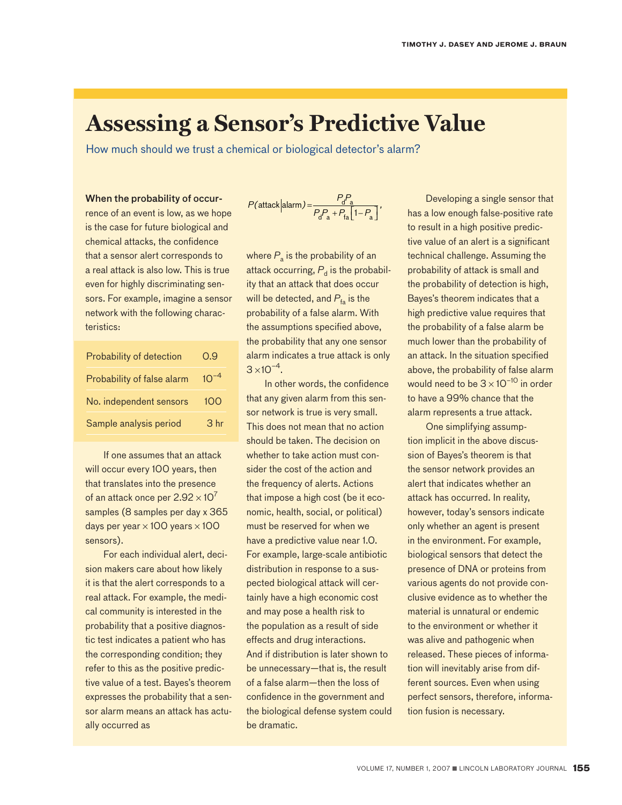## **Assessing a Sensor's Predictive Value**

How much should we trust a chemical or biological detector's alarm?

#### When the probability of occur-

rence of an event is low, as we hope is the case for future biological and chemical attacks, the confidence that a sensor alert corresponds to a real attack is also low. This is true even for highly discriminating sensors. For example, imagine a sensor network with the following characteristics:

| Probability of detection   | 0.9             |
|----------------------------|-----------------|
| Probability of false alarm | $10^{-4}$       |
| No. independent sensors    | 10O             |
| Sample analysis period     | 3 <sub>hr</sub> |

If one assumes that an attack will occur every 100 years, then that translates into the presence of an attack once per  $2.92 \times 10^7$ samples (8 samples per day x 365 days per year  $\times$  100 years  $\times$  100 sensors).

For each individual alert, decision makers care about how likely it is that the alert corresponds to a real attack. For example, the medical community is interested in the probability that a positive diagnostic test indicates a patient who has the corresponding condition; they refer to this as the positive predictive value of a test. Bayes's theorem expresses the probability that a sensor alarm means an attack has actually occurred as

$$
P(\text{attack}|\text{alarm}) = \frac{P_0 P_a}{P_d P_a + P_{fa} \left[1 - P_a\right]},
$$

where  $P_a$  is the probability of an attack occurring,  $P_d$  is the probability that an attack that does occur will be detected, and  $P_{f_a}$  is the probability of a false alarm. With the assumptions specified above, the probability that any one sensor alarm indicates a true attack is only  $3 \times 10^{-4}$ .

In other words, the confidence that any given alarm from this sensor network is true is very small. This does not mean that no action should be taken. The decision on whether to take action must consider the cost of the action and the frequency of alerts. Actions that impose a high cost (be it economic, health, social, or political) must be reserved for when we have a predictive value near 1.0. For example, large-scale antibiotic distribution in response to a suspected biological attack will certainly have a high economic cost and may pose a health risk to the population as a result of side effects and drug interactions. And if distribution is later shown to be unnecessary—that is, the result of a false alarm—then the loss of confidence in the government and the biological defense system could be dramatic.

Developing a single sensor that has a low enough false-positive rate to result in a high positive predictive value of an alert is a significant technical challenge. Assuming the probability of attack is small and the probability of detection is high, Bayes's theorem indicates that a high predictive value requires that the probability of a false alarm be much lower than the probability of an attack. In the situation specified above, the probability of false alarm would need to be  $3 \times 10^{-10}$  in order to have a 99% chance that the alarm represents a true attack.

One simplifying assumption implicit in the above discussion of Bayes's theorem is that the sensor network provides an alert that indicates whether an attack has occurred. In reality, however, today's sensors indicate only whether an agent is present in the environment. For example, biological sensors that detect the presence of DNA or proteins from various agents do not provide conclusive evidence as to whether the material is unnatural or endemic to the environment or whether it was alive and pathogenic when released. These pieces of information will inevitably arise from different sources. Even when using perfect sensors, therefore, information fusion is necessary.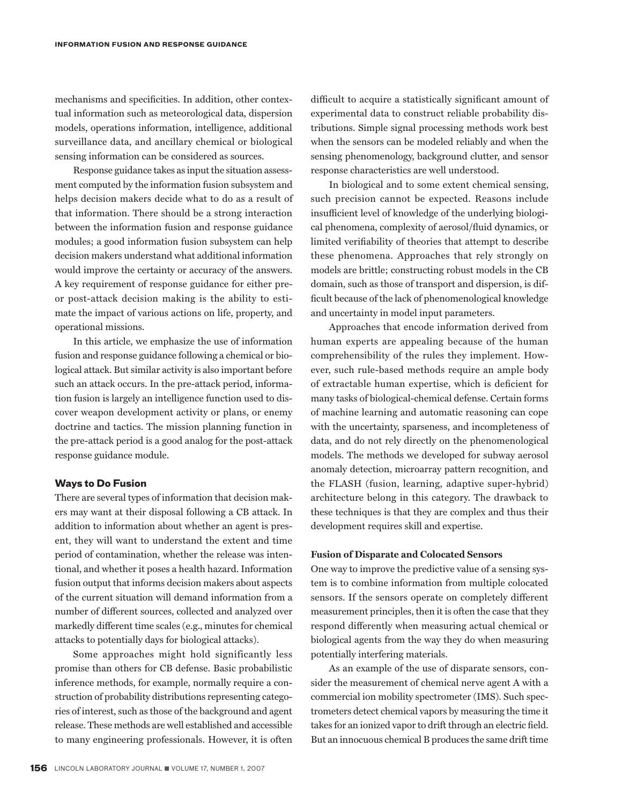mechanisms and specificities. In addition, other contextual information such as meteorological data, dispersion models, operations information, intelligence, additional surveillance data, and ancillary chemical or biological sensing information can be considered as sources.

Response guidance takes as input the situation assessment computed by the information fusion subsystem and helps decision makers decide what to do as a result of that information. There should be a strong interaction between the information fusion and response guidance modules; a good information fusion subsystem can help decision makers understand what additional information would improve the certainty or accuracy of the answers. A key requirement of response guidance for either preor post-attack decision making is the ability to estimate the impact of various actions on life, property, and operational missions.

In this article, we emphasize the use of information fusion and response guidance following a chemical or biological attack. But similar activity is also important before such an attack occurs. In the pre-attack period, information fusion is largely an intelligence function used to discover weapon development activity or plans, or enemy doctrine and tactics. The mission planning function in the pre-attack period is a good analog for the post-attack response guidance module.

#### **Ways to Do Fusion**

There are several types of information that decision makers may want at their disposal following a CB attack. In addition to information about whether an agent is present, they will want to understand the extent and time period of contamination, whether the release was intentional, and whether it poses a health hazard. Information fusion output that informs decision makers about aspects of the current situation will demand information from a number of different sources, collected and analyzed over markedly different time scales (e.g., minutes for chemical attacks to potentially days for biological attacks).

Some approaches might hold significantly less promise than others for CB defense. Basic probabilistic inference methods, for example, normally require a construction of probability distributions representing categories of interest, such as those of the background and agent release. These methods are well established and accessible to many engineering professionals. However, it is often

difficult to acquire a statistically significant amount of experimental data to construct reliable probability distributions. Simple signal processing methods work best when the sensors can be modeled reliably and when the sensing phenomenology, background clutter, and sensor response characteristics are well understood.

In biological and to some extent chemical sensing, such precision cannot be expected. Reasons include insufficient level of knowledge of the underlying biological phenomena, complexity of aerosol/fluid dynamics, or limited verifiability of theories that attempt to describe these phenomena. Approaches that rely strongly on models are brittle; constructing robust models in the CB domain, such as those of transport and dispersion, is difficult because of the lack of phenomenological knowledge and uncertainty in model input parameters.

Approaches that encode information derived from human experts are appealing because of the human comprehensibility of the rules they implement. However, such rule-based methods require an ample body of extractable human expertise, which is deficient for many tasks of biological-chemical defense. Certain forms of machine learning and automatic reasoning can cope with the uncertainty, sparseness, and incompleteness of data, and do not rely directly on the phenomenological models. The methods we developed for subway aerosol anomaly detection, microarray pattern recognition, and the FLASH (fusion, learning, adaptive super-hybrid) architecture belong in this category. The drawback to these techniques is that they are complex and thus their development requires skill and expertise.

#### **Fusion of Disparate and Colocated Sensors**

One way to improve the predictive value of a sensing system is to combine information from multiple colocated sensors. If the sensors operate on completely different measurement principles, then it is often the case that they respond differently when measuring actual chemical or biological agents from the way they do when measuring potentially interfering materials.

As an example of the use of disparate sensors, consider the measurement of chemical nerve agent A with a commercial ion mobility spectrometer (IMS). Such spectrometers detect chemical vapors by measuring the time it takes for an ionized vapor to drift through an electric field. But an innocuous chemical B produces the same drift time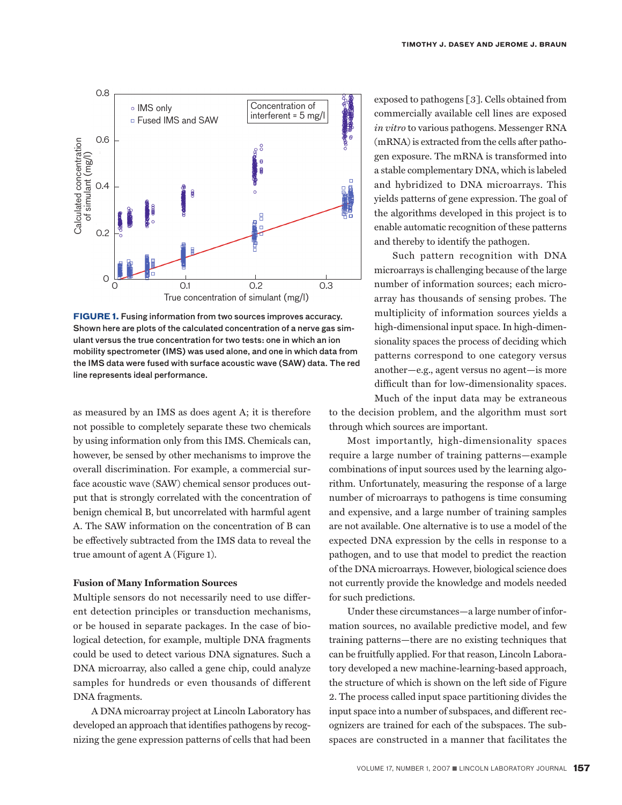

**FIGURE 1.** Fusing information from two sources improves accuracy. Shown here are plots of the calculated concentration of a nerve gas simulant versus the true concentration for two tests: one in which an ion mobility spectrometer (IMS) was used alone, and one in which data from the IMS data were fused with surface acoustic wave (SAW) data. The red line represents ideal performance.

as measured by an IMS as does agent A; it is therefore not possible to completely separate these two chemicals by using information only from this IMS. Chemicals can, however, be sensed by other mechanisms to improve the overall discrimination. For example, a commercial surface acoustic wave (SAW) chemical sensor produces output that is strongly correlated with the concentration of benign chemical B, but uncorrelated with harmful agent A. The SAW information on the concentration of B can be effectively subtracted from the IMS data to reveal the true amount of agent A (Figure 1).

#### **Fusion of Many Information Sources**

Multiple sensors do not necessarily need to use different detection principles or transduction mechanisms, or be housed in separate packages. In the case of biological detection, for example, multiple DNA fragments could be used to detect various DNA signatures. Such a DNA microarray, also called a gene chip, could analyze samples for hundreds or even thousands of different DNA fragments.

A DNA microarray project at Lincoln Laboratory has developed an approach that identifies pathogens by recognizing the gene expression patterns of cells that had been

exposed to pathogens [3]. Cells obtained from commercially available cell lines are exposed *in vitro* to various pathogens. Messenger RNA (mRNA) is extracted from the cells after pathogen exposure. The mRNA is transformed into a stable complementary DNA, which is labeled and hybridized to DNA microarrays. This yields patterns of gene expression. The goal of the algorithms developed in this project is to enable automatic recognition of these patterns and thereby to identify the pathogen.

Such pattern recognition with DNA microarrays is challenging because of the large number of information sources; each microarray has thousands of sensing probes. The multiplicity of information sources yields a high-dimensional input space. In high-dimensionality spaces the process of deciding which patterns correspond to one category versus another—e.g., agent versus no agent—is more difficult than for low-dimensionality spaces. Much of the input data may be extraneous

to the decision problem, and the algorithm must sort through which sources are important.

Most importantly, high-dimensionality spaces require a large number of training patterns—example combinations of input sources used by the learning algorithm. Unfortunately, measuring the response of a large number of microarrays to pathogens is time consuming and expensive, and a large number of training samples are not available. One alternative is to use a model of the expected DNA expression by the cells in response to a pathogen, and to use that model to predict the reaction of the DNA microarrays. However, biological science does not currently provide the knowledge and models needed for such predictions.

Under these circumstances—a large number of information sources, no available predictive model, and few training patterns—there are no existing techniques that can be fruitfully applied. For that reason, Lincoln Laboratory developed a new machine-learning-based approach, the structure of which is shown on the left side of Figure 2. The process called input space partitioning divides the input space into a number of subspaces, and different recognizers are trained for each of the subspaces. The subspaces are constructed in a manner that facilitates the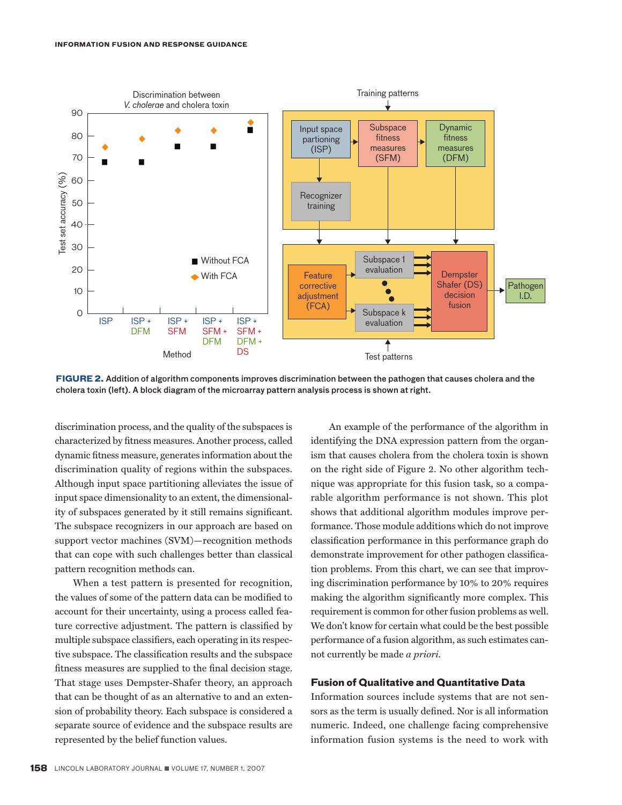

**FIGURE 2.** Addition of algorithm components improves discrimination between the pathogen that causes cholera and the cholera toxin (left). A block diagram of the microarray pattern analysis process is shown at right.

discrimination process, and the quality of the subspaces is characterized by fitness measures. Another process, called dynamic fitness measure, generates information about the discrimination quality of regions within the subspaces. Although input space partitioning alleviates the issue of input space dimensionality to an extent, the dimensionality of subspaces generated by it still remains significant. The subspace recognizers in our approach are based on support vector machines (SVM)—recognition methods that can cope with such challenges better than classical pattern recognition methods can.

When a test pattern is presented for recognition, the values of some of the pattern data can be modified to account for their uncertainty, using a process called feature corrective adjustment. The pattern is classified by multiple subspace classifiers, each operating in its respective subspace. The classification results and the subspace fitness measures are supplied to the final decision stage. That stage uses Dempster-Shafer theory, an approach that can be thought of as an alternative to and an extension of probability theory. Each subspace is considered a separate source of evidence and the subspace results are represented by the belief function values.

An example of the performance of the algorithm in identifying the DNA expression pattern from the organism that causes cholera from the cholera toxin is shown on the right side of Figure 2. No other algorithm technique was appropriate for this fusion task, so a comparable algorithm performance is not shown. This plot shows that additional algorithm modules improve performance. Those module additions which do not improve classification performance in this performance graph do demonstrate improvement for other pathogen classification problems. From this chart, we can see that improving discrimination performance by 10% to 20% requires making the algorithm significantly more complex. This requirement is common for other fusion problems as well. We don't know for certain what could be the best possible performance of a fusion algorithm, as such estimates cannot currently be made *a priori.*

#### **Fusion of Qualitative and Quantitative Data**

Information sources include systems that are not sensors as the term is usually defined. Nor is all information numeric. Indeed, one challenge facing comprehensive information fusion systems is the need to work with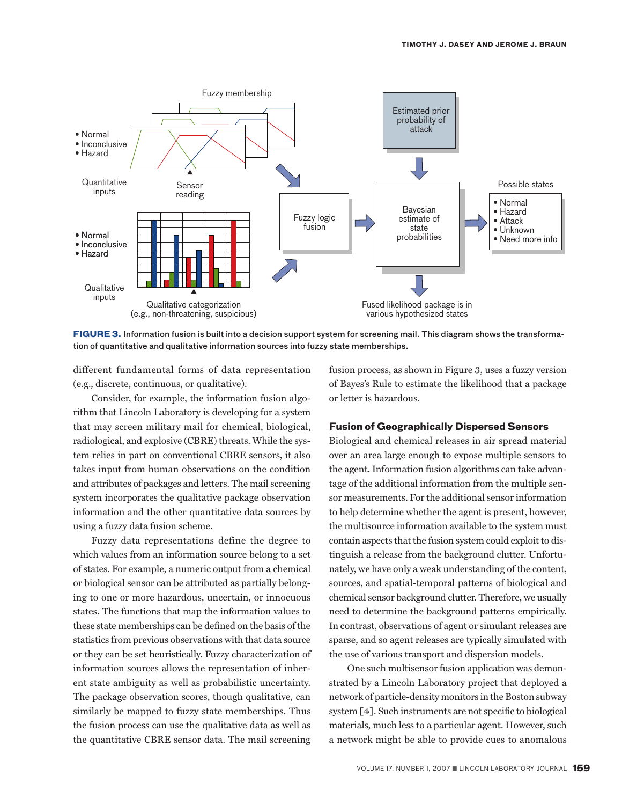

**FIGURE 3.** Information fusion is built into a decision support system for screening mail. This diagram shows the transformation of quantitative and qualitative information sources into fuzzy state memberships.

different fundamental forms of data representation (e.g., discrete, continuous, or qualitative).

Consider, for example, the information fusion algorithm that Lincoln Laboratory is developing for a system that may screen military mail for chemical, biological, radiological, and explosive (CBRE) threats. While the system relies in part on conventional CBRE sensors, it also takes input from human observations on the condition and attributes of packages and letters. The mail screening system incorporates the qualitative package observation information and the other quantitative data sources by using a fuzzy data fusion scheme.

Fuzzy data representations define the degree to which values from an information source belong to a set of states. For example, a numeric output from a chemical or biological sensor can be attributed as partially belonging to one or more hazardous, uncertain, or innocuous states. The functions that map the information values to these state memberships can be defined on the basis of the statistics from previous observations with that data source or they can be set heuristically. Fuzzy characterization of information sources allows the representation of inherent state ambiguity as well as probabilistic uncertainty. The package observation scores, though qualitative, can similarly be mapped to fuzzy state memberships. Thus the fusion process can use the qualitative data as well as the quantitative CBRE sensor data. The mail screening

fusion process, as shown in Figure 3, uses a fuzzy version of Bayes's Rule to estimate the likelihood that a package or letter is hazardous.

#### **Fusion of Geographically Dispersed Sensors**

Biological and chemical releases in air spread material over an area large enough to expose multiple sensors to the agent. Information fusion algorithms can take advantage of the additional information from the multiple sensor measurements. For the additional sensor information to help determine whether the agent is present, however, the multisource information available to the system must contain aspects that the fusion system could exploit to distinguish a release from the background clutter. Unfortunately, we have only a weak understanding of the content, sources, and spatial-temporal patterns of biological and chemical sensor background clutter. Therefore, we usually need to determine the background patterns empirically. In contrast, observations of agent or simulant releases are sparse, and so agent releases are typically simulated with the use of various transport and dispersion models.

One such multisensor fusion application was demonstrated by a Lincoln Laboratory project that deployed a network of particle-density monitors in the Boston subway system [4]. Such instruments are not specific to biological materials, much less to a particular agent. However, such a network might be able to provide cues to anomalous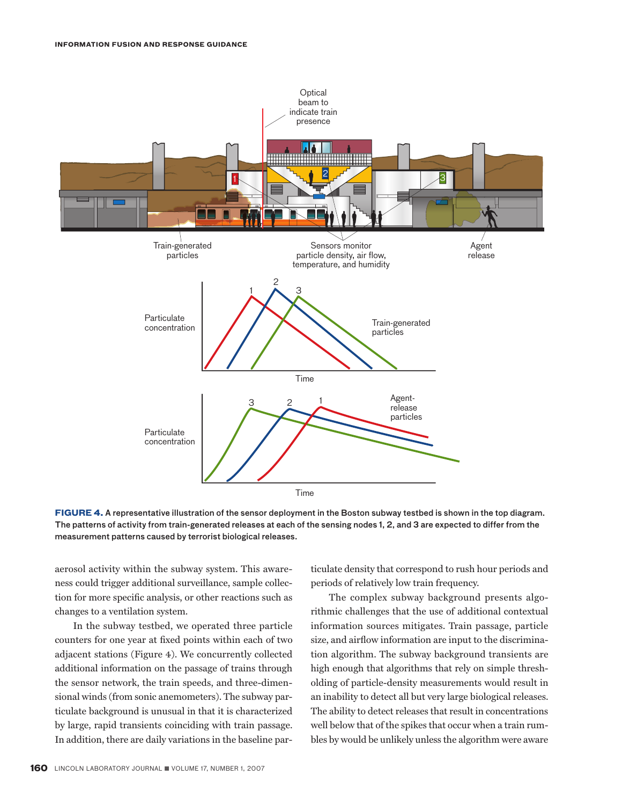

**FIGURE 4.** A representative illustration of the sensor deployment in the Boston subway testbed is shown in the top diagram. The patterns of activity from train-generated releases at each of the sensing nodes 1, 2, and 3 are expected to differ from the measurement patterns caused by terrorist biological releases.

aerosol activity within the subway system. This awareness could trigger additional surveillance, sample collection for more specific analysis, or other reactions such as changes to a ventilation system.

In the subway testbed, we operated three particle counters for one year at fixed points within each of two adjacent stations (Figure 4). We concurrently collected additional information on the passage of trains through the sensor network, the train speeds, and three-dimensional winds (from sonic anemometers). The subway particulate background is unusual in that it is characterized by large, rapid transients coinciding with train passage. In addition, there are daily variations in the baseline particulate density that correspond to rush hour periods and periods of relatively low train frequency.

The complex subway background presents algorithmic challenges that the use of additional contextual information sources mitigates. Train passage, particle size, and airflow information are input to the discrimination algorithm. The subway background transients are high enough that algorithms that rely on simple thresholding of particle-density measurements would result in an inability to detect all but very large biological releases. The ability to detect releases that result in concentrations well below that of the spikes that occur when a train rumbles by would be unlikely unless the algorithm were aware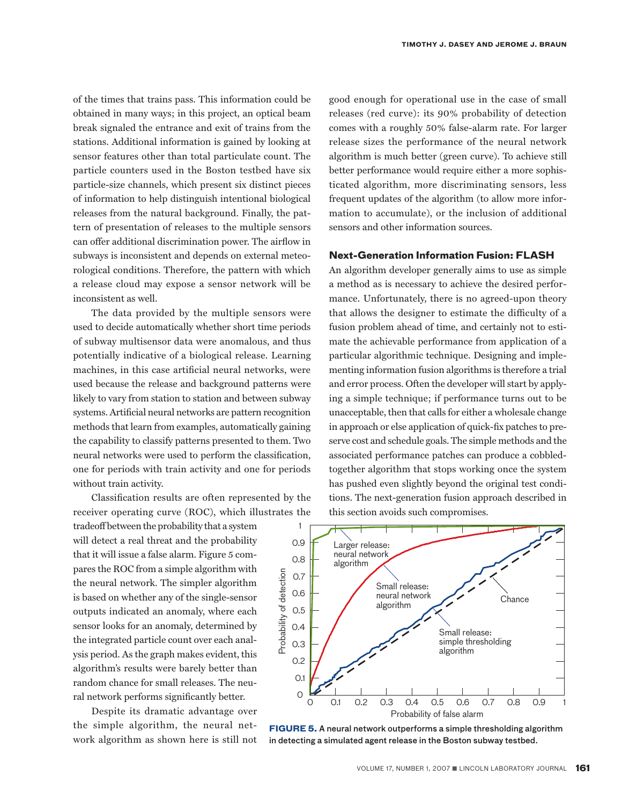of the times that trains pass. This information could be obtained in many ways; in this project, an optical beam break signaled the entrance and exit of trains from the stations. Additional information is gained by looking at sensor features other than total particulate count. The particle counters used in the Boston testbed have six particle-size channels, which present six distinct pieces of information to help distinguish intentional biological releases from the natural background. Finally, the pattern of presentation of releases to the multiple sensors can offer additional discrimination power. The airflow in subways is inconsistent and depends on external meteorological conditions. Therefore, the pattern with which a release cloud may expose a sensor network will be inconsistent as well.

The data provided by the multiple sensors were used to decide automatically whether short time periods of subway multisensor data were anomalous, and thus potentially indicative of a biological release. Learning machines, in this case artificial neural networks, were used because the release and background patterns were likely to vary from station to station and between subway systems. Artificial neural networks are pattern recognition methods that learn from examples, automatically gaining the capability to classify patterns presented to them. Two neural networks were used to perform the classification, one for periods with train activity and one for periods without train activity.

Classification results are often represented by the receiver operating curve (ROC), which illustrates the

tradeoff between the probability that a system will detect a real threat and the probability that it will issue a false alarm. Figure 5 compares the ROC from a simple algorithm with the neural network. The simpler algorithm is based on whether any of the single-sensor outputs indicated an anomaly, where each sensor looks for an anomaly, determined by the integrated particle count over each analysis period. As the graph makes evident, this algorithm's results were barely better than random chance for small releases. The neural network performs significantly better.

Despite its dramatic advantage over the simple algorithm, the neural network algorithm as shown here is still not good enough for operational use in the case of small releases (red curve): its 90% probability of detection comes with a roughly 50% false-alarm rate. For larger release sizes the performance of the neural network algorithm is much better (green curve). To achieve still better performance would require either a more sophisticated algorithm, more discriminating sensors, less frequent updates of the algorithm (to allow more information to accumulate), or the inclusion of additional sensors and other information sources.

#### **Next-Generation Information Fusion: FLASH**

An algorithm developer generally aims to use as simple a method as is necessary to achieve the desired performance. Unfortunately, there is no agreed-upon theory that allows the designer to estimate the difficulty of a fusion problem ahead of time, and certainly not to estimate the achievable performance from application of a particular algorithmic technique. Designing and implementing information fusion algorithms is therefore a trial and error process. Often the developer will start by applying a simple technique; if performance turns out to be unacceptable, then that calls for either a wholesale change in approach or else application of quick-fix patches to preserve cost and schedule goals. The simple methods and the associated performance patches can produce a cobbledtogether algorithm that stops working once the system has pushed even slightly beyond the original test conditions. The next-generation fusion approach described in this section avoids such compromises.



**FIGURE 5.** A neural network outperforms a simple thresholding algorithm in detecting a simulated agent release in the Boston subway testbed.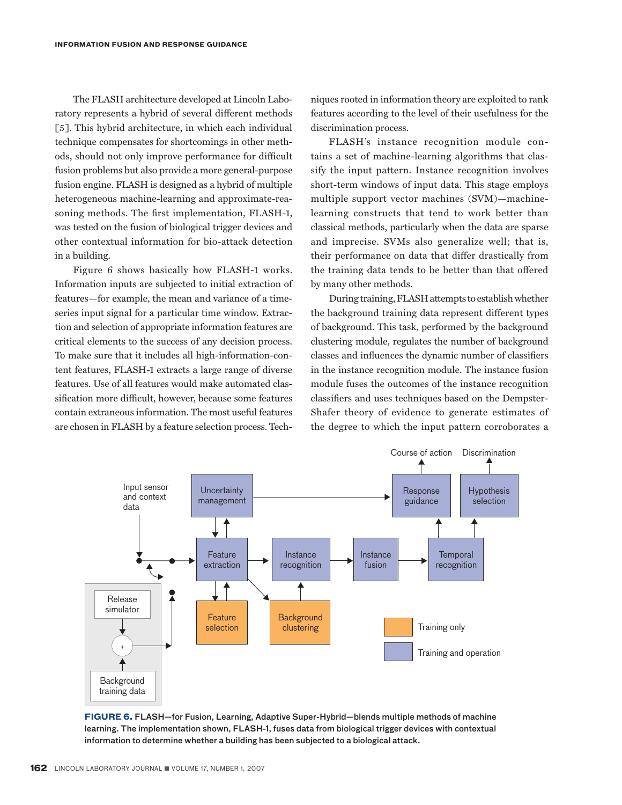The FLASH architecture developed at Lincoln Laboratory represents a hybrid of several different methods [5]. This hybrid architecture, in which each individual technique compensates for shortcomings in other methods, should not only improve performance for difficult fusion problems but also provide a more general-purpose fusion engine. FLASH is designed as a hybrid of multiple heterogeneous machine-learning and approximate-reasoning methods. The first implementation, FLASH-1, was tested on the fusion of biological trigger devices and other contextual information for bio-attack detection in a building.

Figure 6 shows basically how FLASH-1 works. Information inputs are subjected to initial extraction of features—for example, the mean and variance of a timeseries input signal for a particular time window. Extraction and selection of appropriate information features are critical elements to the success of any decision process. To make sure that it includes all high-information-content features, FLASH-1 extracts a large range of diverse features. Use of all features would make automated classification more difficult, however, because some features contain extraneous information. The most useful features are chosen in FLASH by a feature selection process. Techniques rooted in information theory are exploited to rank features according to the level of their usefulness for the discrimination process.

FLASH's instance recognition module contains a set of machine-learning algorithms that classify the input pattern. Instance recognition involves short-term windows of input data. This stage employs multiple support vector machines (SVM)—machinelearning constructs that tend to work better than classical methods, particularly when the data are sparse and imprecise. SVMs also generalize well; that is, their performance on data that differ drastically from the training data tends to be better than that offered by many other methods.

During training, FLASH attempts to establish whether the background training data represent different types of background. This task, performed by the background clustering module, regulates the number of background classes and influences the dynamic number of classifiers in the instance recognition module. The instance fusion module fuses the outcomes of the instance recognition classifiers and uses techniques based on the Dempster-Shafer theory of evidence to generate estimates of the degree to which the input pattern corroborates a



**FIGURE 6.** FLASH—for Fusion, Learning, Adaptive Super-Hybrid—blends multiple methods of machine learning. The implementation shown, FLASH-1, fuses data from biological trigger devices with contextual information to determine whether a building has been subjected to a biological attack.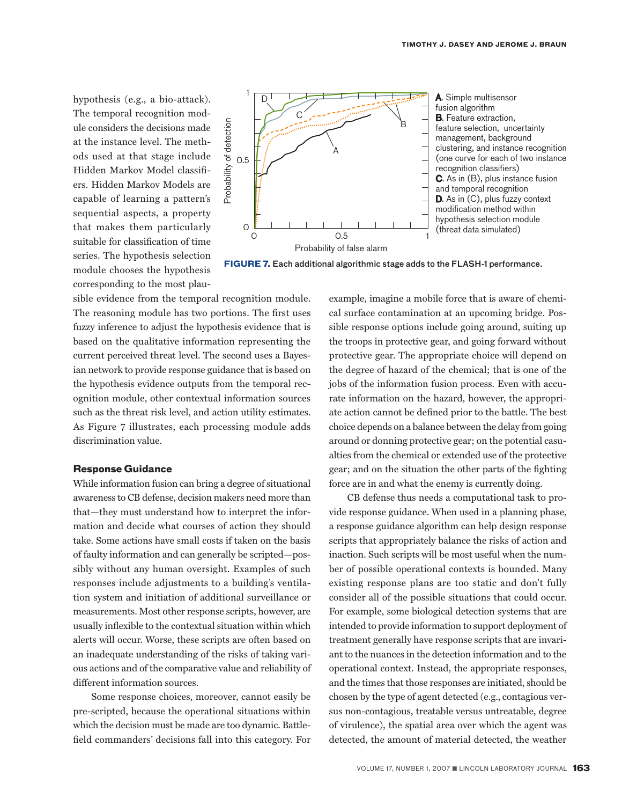hypothesis (e.g., a bio-attack). The temporal recognition module considers the decisions made at the instance level. The methods used at that stage include Hidden Markov Model classifiers. Hidden Markov Models are capable of learning a pattern's sequential aspects, a property that makes them particularly suitable for classification of time series. The hypothesis selection module chooses the hypothesis corresponding to the most plau-



**FIGURE 7.** Each additional algorithmic stage adds to the FLASH-1 performance.

sible evidence from the temporal recognition module. The reasoning module has two portions. The first uses fuzzy inference to adjust the hypothesis evidence that is based on the qualitative information representing the current perceived threat level. The second uses a Bayesian network to provide response guidance that is based on the hypothesis evidence outputs from the temporal recognition module, other contextual information sources such as the threat risk level, and action utility estimates. As Figure 7 illustrates, each processing module adds discrimination value.

#### **Response Guidance**

While information fusion can bring a degree of situational awareness to CB defense, decision makers need more than that—they must understand how to interpret the information and decide what courses of action they should take. Some actions have small costs if taken on the basis of faulty information and can generally be scripted—possibly without any human oversight. Examples of such responses include adjustments to a building's ventilation system and initiation of additional surveillance or measurements. Most other response scripts, however, are usually inflexible to the contextual situation within which alerts will occur. Worse, these scripts are often based on an inadequate understanding of the risks of taking various actions and of the comparative value and reliability of different information sources.

Some response choices, moreover, cannot easily be pre-scripted, because the operational situations within which the decision must be made are too dynamic. Battlefield commanders' decisions fall into this category. For

example, imagine a mobile force that is aware of chemical surface contamination at an upcoming bridge. Possible response options include going around, suiting up the troops in protective gear, and going forward without protective gear. The appropriate choice will depend on the degree of hazard of the chemical; that is one of the jobs of the information fusion process. Even with accurate information on the hazard, however, the appropriate action cannot be defined prior to the battle. The best choice depends on a balance between the delay from going around or donning protective gear; on the potential casualties from the chemical or extended use of the protective gear; and on the situation the other parts of the fighting force are in and what the enemy is currently doing.

CB defense thus needs a computational task to provide response guidance. When used in a planning phase, a response guidance algorithm can help design response scripts that appropriately balance the risks of action and inaction. Such scripts will be most useful when the number of possible operational contexts is bounded. Many existing response plans are too static and don't fully consider all of the possible situations that could occur. For example, some biological detection systems that are intended to provide information to support deployment of treatment generally have response scripts that are invariant to the nuances in the detection information and to the operational context. Instead, the appropriate responses, and the times that those responses are initiated, should be chosen by the type of agent detected (e.g., contagious versus non-contagious, treatable versus untreatable, degree of virulence), the spatial area over which the agent was detected, the amount of material detected, the weather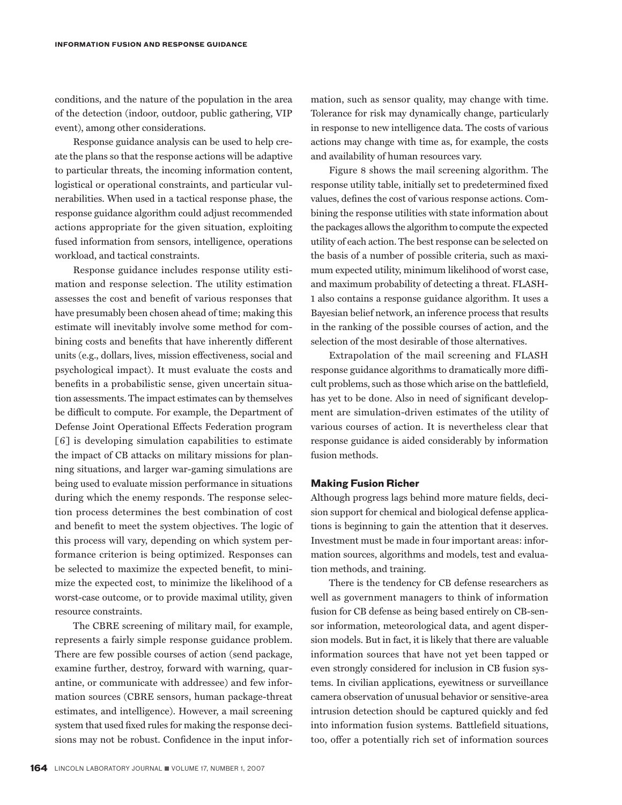conditions, and the nature of the population in the area of the detection (indoor, outdoor, public gathering, VIP event), among other considerations.

Response guidance analysis can be used to help create the plans so that the response actions will be adaptive to particular threats, the incoming information content, logistical or operational constraints, and particular vulnerabilities. When used in a tactical response phase, the response guidance algorithm could adjust recommended actions appropriate for the given situation, exploiting fused information from sensors, intelligence, operations workload, and tactical constraints.

Response guidance includes response utility estimation and response selection. The utility estimation assesses the cost and benefit of various responses that have presumably been chosen ahead of time; making this estimate will inevitably involve some method for combining costs and benefits that have inherently different units (e.g., dollars, lives, mission effectiveness, social and psychological impact). It must evaluate the costs and benefits in a probabilistic sense, given uncertain situation assessments. The impact estimates can by themselves be difficult to compute. For example, the Department of Defense Joint Operational Effects Federation program [6] is developing simulation capabilities to estimate the impact of CB attacks on military missions for planning situations, and larger war-gaming simulations are being used to evaluate mission performance in situations during which the enemy responds. The response selection process determines the best combination of cost and benefit to meet the system objectives. The logic of this process will vary, depending on which system performance criterion is being optimized. Responses can be selected to maximize the expected benefit, to minimize the expected cost, to minimize the likelihood of a worst-case outcome, or to provide maximal utility, given resource constraints.

The CBRE screening of military mail, for example, represents a fairly simple response guidance problem. There are few possible courses of action (send package, examine further, destroy, forward with warning, quarantine, or communicate with addressee) and few information sources (CBRE sensors, human package-threat estimates, and intelligence). However, a mail screening system that used fixed rules for making the response decisions may not be robust. Confidence in the input information, such as sensor quality, may change with time. Tolerance for risk may dynamically change, particularly in response to new intelligence data. The costs of various actions may change with time as, for example, the costs and availability of human resources vary.

Figure 8 shows the mail screening algorithm. The response utility table, initially set to predetermined fixed values, defines the cost of various response actions. Combining the response utilities with state information about the packages allows the algorithm to compute the expected utility of each action. The best response can be selected on the basis of a number of possible criteria, such as maximum expected utility, minimum likelihood of worst case, and maximum probability of detecting a threat. FLASH-1 also contains a response guidance algorithm. It uses a Bayesian belief network, an inference process that results in the ranking of the possible courses of action, and the selection of the most desirable of those alternatives.

Extrapolation of the mail screening and FLASH response guidance algorithms to dramatically more difficult problems, such as those which arise on the battlefield, has yet to be done. Also in need of significant development are simulation-driven estimates of the utility of various courses of action. It is nevertheless clear that response guidance is aided considerably by information fusion methods.

#### **Making Fusion Richer**

Although progress lags behind more mature fields, decision support for chemical and biological defense applications is beginning to gain the attention that it deserves. Investment must be made in four important areas: information sources, algorithms and models, test and evaluation methods, and training.

There is the tendency for CB defense researchers as well as government managers to think of information fusion for CB defense as being based entirely on CB-sensor information, meteorological data, and agent dispersion models. But in fact, it is likely that there are valuable information sources that have not yet been tapped or even strongly considered for inclusion in CB fusion systems. In civilian applications, eyewitness or surveillance camera observation of unusual behavior or sensitive-area intrusion detection should be captured quickly and fed into information fusion systems. Battlefield situations, too, offer a potentially rich set of information sources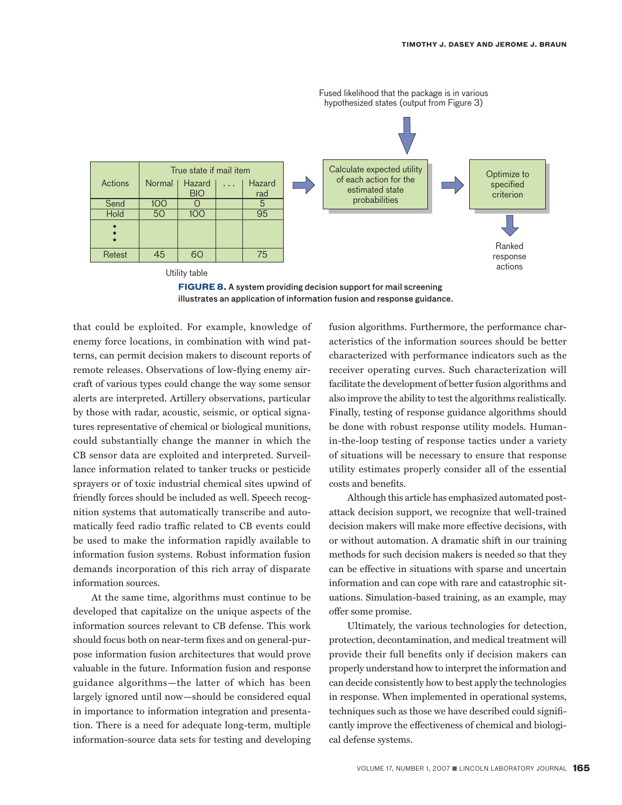



that could be exploited. For example, knowledge of enemy force locations, in combination with wind patterns, can permit decision makers to discount reports of remote releases. Observations of low-flying enemy aircraft of various types could change the way some sensor alerts are interpreted. Artillery observations, particular by those with radar, acoustic, seismic, or optical signatures representative of chemical or biological munitions, could substantially change the manner in which the CB sensor data are exploited and interpreted. Surveillance information related to tanker trucks or pesticide sprayers or of toxic industrial chemical sites upwind of friendly forces should be included as well. Speech recognition systems that automatically transcribe and automatically feed radio traffic related to CB events could be used to make the information rapidly available to information fusion systems. Robust information fusion demands incorporation of this rich array of disparate information sources.

At the same time, algorithms must continue to be developed that capitalize on the unique aspects of the information sources relevant to CB defense. This work should focus both on near-term fixes and on general-purpose information fusion architectures that would prove valuable in the future. Information fusion and response guidance algorithms—the latter of which has been largely ignored until now—should be considered equal in importance to information integration and presentation. There is a need for adequate long-term, multiple information-source data sets for testing and developing fusion algorithms. Furthermore, the performance characteristics of the information sources should be better characterized with performance indicators such as the receiver operating curves. Such characterization will facilitate the development of better fusion algorithms and also improve the ability to test the algorithms realistically. Finally, testing of response guidance algorithms should be done with robust response utility models. Humanin-the-loop testing of response tactics under a variety of situations will be necessary to ensure that response utility estimates properly consider all of the essential costs and benefits.

Although this article has emphasized automated postattack decision support, we recognize that well-trained decision makers will make more effective decisions, with or without automation. A dramatic shift in our training methods for such decision makers is needed so that they can be effective in situations with sparse and uncertain information and can cope with rare and catastrophic situations. Simulation-based training, as an example, may offer some promise.

Ultimately, the various technologies for detection, protection, decontamination, and medical treatment will provide their full benefits only if decision makers can properly understand how to interpret the information and can decide consistently how to best apply the technologies in response. When implemented in operational systems, techniques such as those we have described could significantly improve the effectiveness of chemical and biological defense systems.